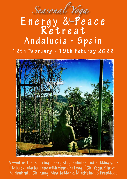

**12th February - 19th Feburay 2022**



**A week of fun, relaxing, energising, calming and putting your life back into balance with Seasonal yoga, Chi Yoga,Pilates, Feldenkrais, Chi Kung, Meditation & Mindfulness Practices**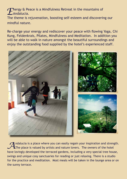*E*nergy & Peace is a Mindfulness Retreat in the mountains of Andalucia.

The theme is rejuvenation, boosting self-esteem and discovering our mindful nature.

Re-charge your energy and rediscover your peace with flowing Yoga, Chi Kung, Feldenkrais, Pilates, Mindfulness and Meditation. In addition you will be able to walk in nature amongst the beautiful surroundings and enjoy the outstanding food supplied by the hotel's experienced staff.



*A*ndalucia is a place where you can easily regain your inspiration and strength. The place is valued by artists and nature lovers. The owners of the hotel have lovingly developed the terraced gardens, including a very special tree house, swings and unique cosy sanctuaries for reading or just relaxing. There is a studio for the practice and meditation. Most meals will be taken in the lounge area or on the sunny terrace.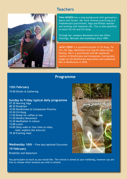## **Teachers**



**TINA HEDRÉN** has a long background with gymnastics, dance and fitness. Her work involves practicing as a Feldenkrais® practitioner, Yoga and Pilates teacher and working with essential oils. Tina is also qualified to teach Tai Chi and Chi Kung.

Through her company Movement Arts she offers Trainings, Retreats and workshops since 1999.

**JACKY SEERY** is a qualified teacher in Chi Kung, Tai Chi, Chi Yoga, Meditation and Ling Chi deep energy healing. She is a practitioner and UK registered teacher of Mindfulness and Compassion, having been taught by the Mindfulness Association and completed MSc in Mindfulness in 2018.

### **Programme**

### **12th February**  19.00 Dinner & Gathering

### **Sunday to Friday typical daily programme**

07:30 Morning Yoga 08:30 Breakfast 10:00 Mindfulness & Compassion Practice 10:30 Chi Kung 11:00 Break for coffee or tea 11:30 Mindful Movement 12:30 Meditation in nature 13:00 Lunch 14:00 Daily walk or free time to relax, read, explore the area etc. 19:30 Evening meal

# **Wednesday 16th** - Free day/optional Excursion. **19 February**

Breakfast and departure



You participate as much as you would like. The retreat is aimed at your wellbeing, however you are free to choose which sessions you wish to attend.